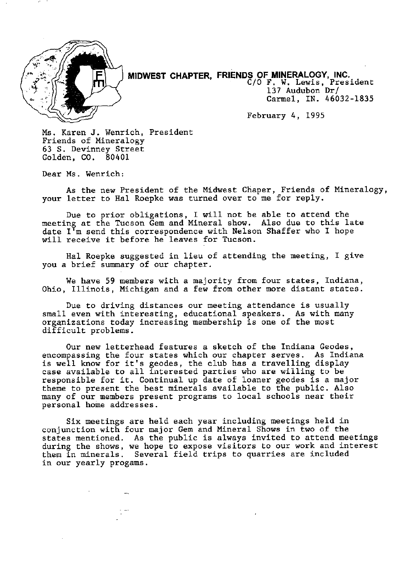

MIDWEST CHAPTER, FRIENDS OF MINERALOGY, INC. C/O F. W. Lewis, President

137 Audubon Dr/ Carmel, IN. 46032-1835

February 4,1995

Ms. Karen J. Wenrich, President Friends of Mineralogy 63 S. Devinney Street Golden, CO. 80401

Dear Ms. Wenrich:

As the new President of the Midwest Chaper, Friends of Mineralogy, your letter to Hal Roepke was turned over to me for reply.

Due to prior obligations, I will not be able to attend the meeting at the Tucson Gem and Mineral show. Also due to this late date I'm send this correspondence with Nelson Shaffer who I hope will receive it before he leaves for Tucson.

Hal Roepke suggested in lieu of attending the meeting, I give you a brief summary of our chapter.

We have 59 members with a majority from four states, Indiana, Ohio, Illinois, Michigan and a few from other more distant states.

Due to driving distances our meeting attendance is usually small even with interesting, educational speakers. As with many organizations today increasing membership is one of the most difficult problems.

Our new letterhead features a sketch of the Indiana Geodes, encompassing the four states which our chapter serves. As Indiana is well know for it's geodes, the club has a travelling display case available to all interested parties who are willing to be responsible for it. Continual up date of loaner geodes is a major theme to present the best minerals available to the public. Also many of our members present programs to local schools near their personal home addresses.

Six meetings are held each year including meetings held in conjunction with four major Gem and Mineral Shows in two of the states mentioned. As the public is always invited to attend meetings during the shows, we hope to expose visitors to our work and interest them in minerals. Several field trips to quarries are included in our yearly progams.